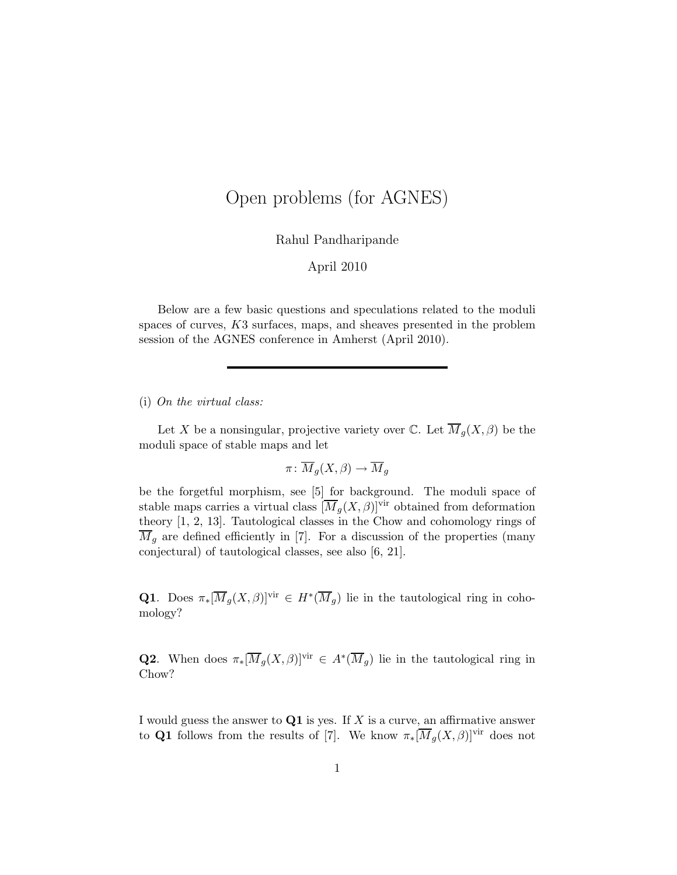# Open problems (for AGNES)

Rahul Pandharipande

## April 2010

Below are a few basic questions and speculations related to the moduli spaces of curves, K3 surfaces, maps, and sheaves presented in the problem session of the AGNES conference in Amherst (April 2010).

## (i) On the virtual class:

Let X be a nonsingular, projective variety over C. Let  $\overline{M}_q(X,\beta)$  be the moduli space of stable maps and let

$$
\pi\colon \overline{M}_g(X,\beta)\to \overline{M}_g
$$

be the forgetful morphism, see [5] for background. The moduli space of stable maps carries a virtual class  $[\overline{M}_g(X,\beta)]^{\text{vir}}$  obtained from deformation theory [1, 2, 13]. Tautological classes in the Chow and cohomology rings of  $\overline{M}_g$  are defined efficiently in [7]. For a discussion of the properties (many conjectural) of tautological classes, see also [6, 21].

**Q1**. Does  $\pi_*[\overline{M}_g(X,\beta)]^{\text{vir}} \in H^*(\overline{M}_g)$  lie in the tautological ring in cohomology?

**Q2.** When does  $\pi_*[\overline{M}_g(X,\beta)]^{\text{vir}} \in A^*(\overline{M}_g)$  lie in the tautological ring in Chow?

I would guess the answer to  $Q1$  is yes. If X is a curve, an affirmative answer to Q1 follows from the results of [7]. We know  $\pi_*[\overline{M}_g(X,\beta)]^{\text{vir}}$  does not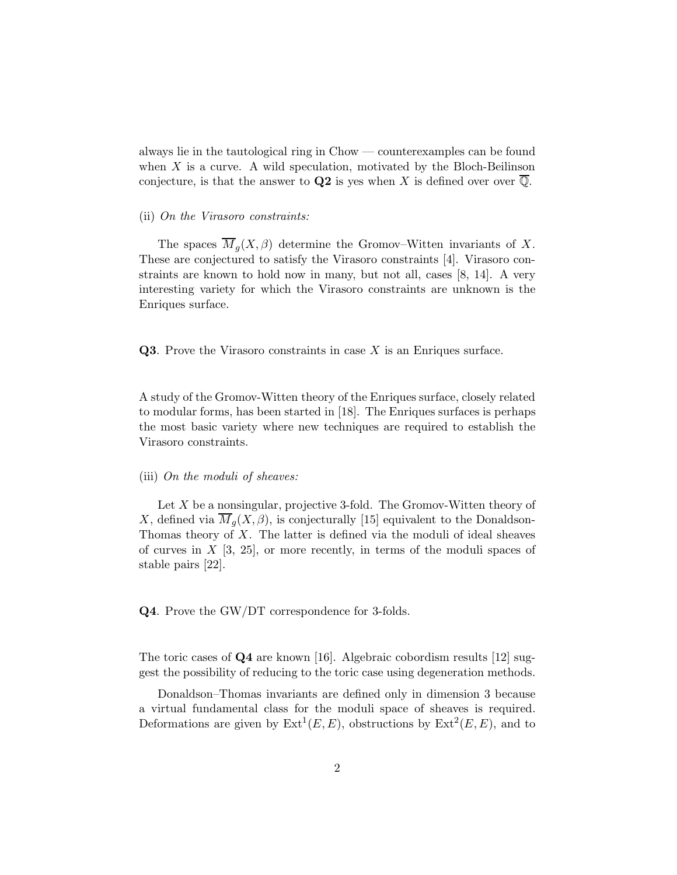always lie in the tautological ring in Chow — counterexamples can be found when  $X$  is a curve. A wild speculation, motivated by the Bloch-Beilinson conjecture, is that the answer to Q2 is yes when X is defined over over  $\overline{Q}$ .

#### (ii) On the Virasoro constraints:

The spaces  $\overline{M}_q(X,\beta)$  determine the Gromov–Witten invariants of X. These are conjectured to satisfy the Virasoro constraints [4]. Virasoro constraints are known to hold now in many, but not all, cases [8, 14]. A very interesting variety for which the Virasoro constraints are unknown is the Enriques surface.

Q3. Prove the Virasoro constraints in case X is an Enriques surface.

A study of the Gromov-Witten theory of the Enriques surface, closely related to modular forms, has been started in [18]. The Enriques surfaces is perhaps the most basic variety where new techniques are required to establish the Virasoro constraints.

#### (iii) On the moduli of sheaves:

Let  $X$  be a nonsingular, projective 3-fold. The Gromov-Witten theory of X, defined via  $\overline{M}_q(X,\beta)$ , is conjecturally [15] equivalent to the Donaldson-Thomas theory of  $X$ . The latter is defined via the moduli of ideal sheaves of curves in  $X$  [3, 25], or more recently, in terms of the moduli spaces of stable pairs [22].

Q4. Prove the GW/DT correspondence for 3-folds.

The toric cases of Q4 are known [16]. Algebraic cobordism results [12] suggest the possibility of reducing to the toric case using degeneration methods.

Donaldson–Thomas invariants are defined only in dimension 3 because a virtual fundamental class for the moduli space of sheaves is required. Deformations are given by  $\text{Ext}^1(E, E)$ , obstructions by  $\text{Ext}^2(E, E)$ , and to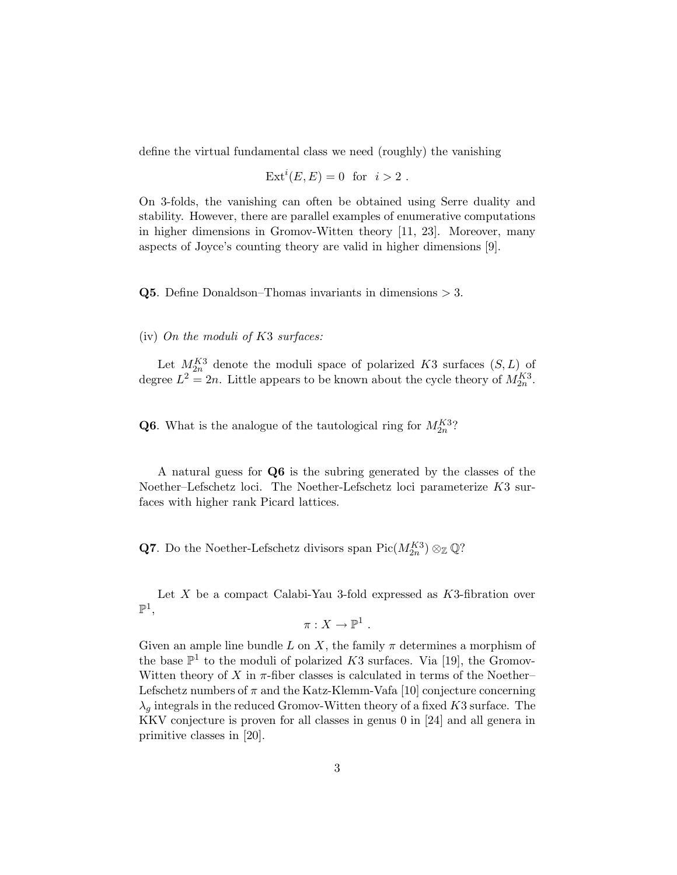define the virtual fundamental class we need (roughly) the vanishing

$$
Ext^i(E, E) = 0 \text{ for } i > 2.
$$

On 3-folds, the vanishing can often be obtained using Serre duality and stability. However, there are parallel examples of enumerative computations in higher dimensions in Gromov-Witten theory [11, 23]. Moreover, many aspects of Joyce's counting theory are valid in higher dimensions [9].

**Q5**. Define Donaldson–Thomas invariants in dimensions  $> 3$ .

### (iv) On the moduli of K3 surfaces:

Let  $M_{2n}^{K3}$  denote the moduli space of polarized K3 surfaces  $(S, L)$  of degree  $L^2 = 2n$ . Little appears to be known about the cycle theory of  $M_{2n}^{K3}$ .

**Q6**. What is the analogue of the tautological ring for  $M_{2n}^{K3}$ ?

A natural guess for Q6 is the subring generated by the classes of the Noether–Lefschetz loci. The Noether-Lefschetz loci parameterize K3 surfaces with higher rank Picard lattices.

**Q7**. Do the Noether-Lefschetz divisors span  $Pic(M_{2n}^{K3}) \otimes_{\mathbb{Z}} \mathbb{Q}$ ?

Let  $X$  be a compact Calabi-Yau 3-fold expressed as  $K3$ -fibration over  $\mathbb{P}^1,$ 

$$
\pi: X \to \mathbb{P}^1 .
$$

Given an ample line bundle L on X, the family  $\pi$  determines a morphism of the base  $\mathbb{P}^1$  to the moduli of polarized K3 surfaces. Via [19], the Gromov-Witten theory of X in  $\pi$ -fiber classes is calculated in terms of the Noether– Lefschetz numbers of  $\pi$  and the Katz-Klemm-Vafa [10] conjecture concerning  $\lambda_g$  integrals in the reduced Gromov-Witten theory of a fixed K3 surface. The KKV conjecture is proven for all classes in genus 0 in [24] and all genera in primitive classes in [20].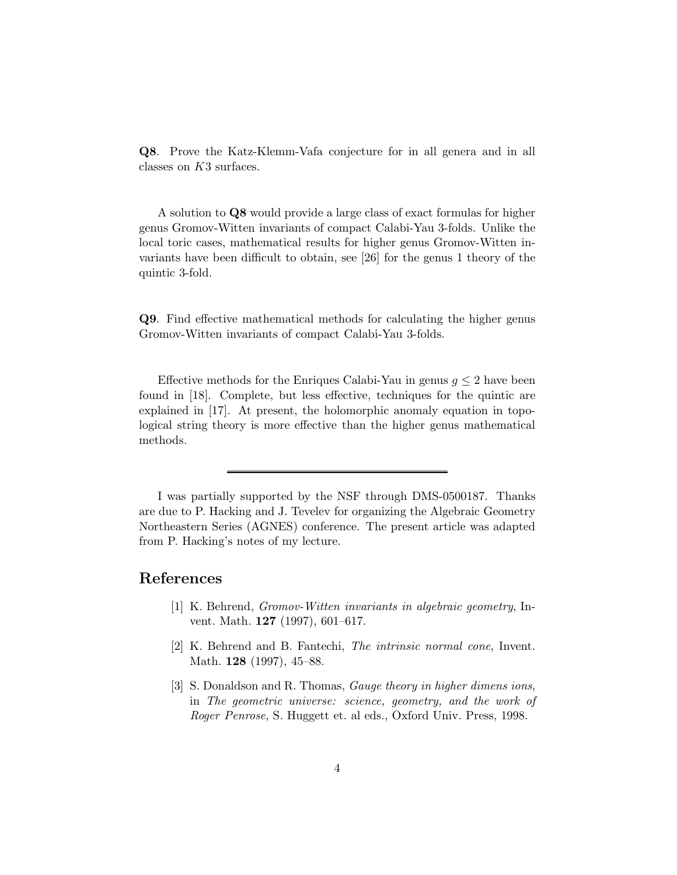Q8. Prove the Katz-Klemm-Vafa conjecture for in all genera and in all classes on K3 surfaces.

A solution to Q8 would provide a large class of exact formulas for higher genus Gromov-Witten invariants of compact Calabi-Yau 3-folds. Unlike the local toric cases, mathematical results for higher genus Gromov-Witten invariants have been difficult to obtain, see [26] for the genus 1 theory of the quintic 3-fold.

Q9. Find effective mathematical methods for calculating the higher genus Gromov-Witten invariants of compact Calabi-Yau 3-folds.

Effective methods for the Enriques Calabi-Yau in genus  $g \leq 2$  have been found in [18]. Complete, but less effective, techniques for the quintic are explained in [17]. At present, the holomorphic anomaly equation in topological string theory is more effective than the higher genus mathematical methods.

I was partially supported by the NSF through DMS-0500187. Thanks are due to P. Hacking and J. Tevelev for organizing the Algebraic Geometry Northeastern Series (AGNES) conference. The present article was adapted from P. Hacking's notes of my lecture.

# References

- [1] K. Behrend, Gromov-Witten invariants in algebraic geometry, Invent. Math. 127 (1997), 601–617.
- [2] K. Behrend and B. Fantechi, The intrinsic normal cone, Invent. Math. **128** (1997), 45–88.
- [3] S. Donaldson and R. Thomas, Gauge theory in higher dimens ions, in The geometric universe: science, geometry, and the work of Roger Penrose, S. Huggett et. al eds., Oxford Univ. Press, 1998.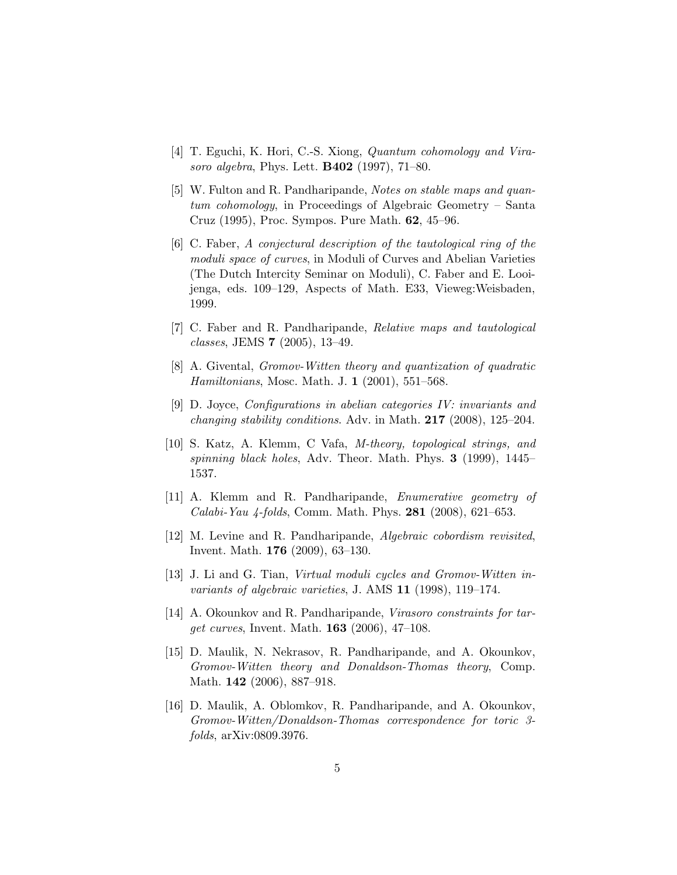- [4] T. Eguchi, K. Hori, C.-S. Xiong, *Quantum cohomology and Vira*soro algebra, Phys. Lett. B402 (1997), 71–80.
- [5] W. Fulton and R. Pandharipande, Notes on stable maps and quantum cohomology, in Proceedings of Algebraic Geometry – Santa Cruz (1995), Proc. Sympos. Pure Math. 62, 45–96.
- [6] C. Faber, A conjectural description of the tautological ring of the moduli space of curves, in Moduli of Curves and Abelian Varieties (The Dutch Intercity Seminar on Moduli), C. Faber and E. Looijenga, eds. 109–129, Aspects of Math. E33, Vieweg:Weisbaden, 1999.
- [7] C. Faber and R. Pandharipande, Relative maps and tautological classes, JEMS 7 (2005), 13–49.
- [8] A. Givental, Gromov-Witten theory and quantization of quadratic Hamiltonians, Mosc. Math. J. 1 (2001), 551–568.
- [9] D. Joyce, Configurations in abelian categories IV: invariants and changing stability conditions. Adv. in Math. 217 (2008), 125–204.
- [10] S. Katz, A. Klemm, C Vafa, M-theory, topological strings, and spinning black holes, Adv. Theor. Math. Phys. 3 (1999), 1445– 1537.
- [11] A. Klemm and R. Pandharipande, Enumerative geometry of *Calabi-Yau 4-folds*, Comm. Math. Phys. **281** (2008), 621–653.
- [12] M. Levine and R. Pandharipande, Algebraic cobordism revisited, Invent. Math. 176 (2009), 63–130.
- [13] J. Li and G. Tian, *Virtual moduli cycles and Gromov-Witten in*variants of algebraic varieties, J. AMS 11 (1998), 119–174.
- [14] A. Okounkov and R. Pandharipande, Virasoro constraints for target curves, Invent. Math. 163 (2006), 47–108.
- [15] D. Maulik, N. Nekrasov, R. Pandharipande, and A. Okounkov, Gromov-Witten theory and Donaldson-Thomas theory, Comp. Math. 142 (2006), 887–918.
- [16] D. Maulik, A. Oblomkov, R. Pandharipande, and A. Okounkov, Gromov-Witten/Donaldson-Thomas correspondence for toric 3 folds, arXiv:0809.3976.